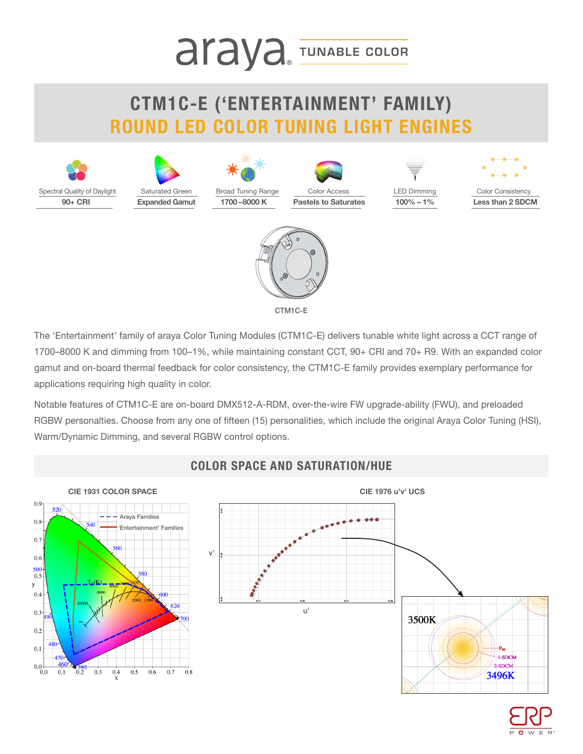# **araya** TUNABLE COLOR

### **CTM1C-E ('ENTERTAINMENT' FAMILY) ROUND LED COLOR TUNING LIGHT ENGINES**



The 'Entertainment' family of araya Color Tuning Modules (CTM1C-E) delivers tunable white light across a CCT range of 1700–8000 K and dimming from 100–1%, while maintaining constant CCT, 90+ CRI and 70+ R9. With an expanded color gamut and on-board thermal feedback for color consistency, the CTM1C-E family provides exemplary performance for applications requiring high quality in color.

Notable features of CTM1C-E are on-board DMX512-A-RDM, over-the-wire FW upgrade-ability (FWU), and preloaded RGBW personalties. Choose from any one of fifteen (15) personalities, which include the original Araya Color Tuning (HSI), Warm/Dynamic Dimming, and several RGBW control options.



#### **COLOR SPACE AND SATURATION/HUE**